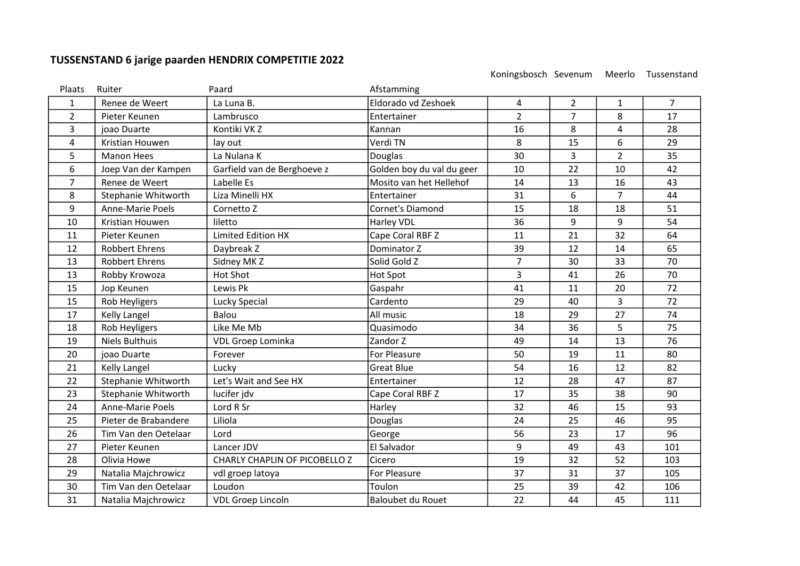## TUSSENSTAND 6 jarige paarden HENDRIX COMPETITIE 2022

Koningsbosch Sevenum Meerlo Tussenstand

| Plaats         | Ruiter                  | Paard                         | Afstamming                |                |                |                |                |
|----------------|-------------------------|-------------------------------|---------------------------|----------------|----------------|----------------|----------------|
| 1              | Renee de Weert          | La Luna B.                    | Eldorado vd Zeshoek       | 4              | $\overline{2}$ | 1              | $\overline{7}$ |
| $\overline{2}$ | Pieter Keunen           | Lambrusco                     | Entertainer               | $\overline{2}$ | $\overline{7}$ | 8              | 17             |
| 3              | joao Duarte             | Kontiki VK Z                  | Kannan                    | 16             | 8              | 4              | 28             |
| 4              | Kristian Houwen         | lay out                       | Verdi TN                  | 8              | 15             | 6              | 29             |
| 5              | <b>Manon Hees</b>       | La Nulana K                   | Douglas                   | 30             | $\overline{3}$ | $\overline{2}$ | 35             |
| 6              | Joep Van der Kampen     | Garfield van de Berghoeve z   | Golden boy du val du geer | 10             | 22             | 10             | 42             |
| 7              | Renee de Weert          | Labelle Es                    | Mosito van het Hellehof   | 14             | 13             | 16             | 43             |
| 8              | Stephanie Whitworth     | Liza Minelli HX               | Entertainer               | 31             | 6              | $\overline{7}$ | 44             |
| 9              | <b>Anne-Marie Poels</b> | Cornetto Z                    | Cornet's Diamond          | 15             | 18             | 18             | 51             |
| 10             | Kristian Houwen         | liletto                       | Harley VDL                | 36             | 9              | 9              | 54             |
| 11             | Pieter Keunen           | <b>Limited Edition HX</b>     | Cape Coral RBF Z          | 11             | 21             | 32             | 64             |
| 12             | <b>Robbert Ehrens</b>   | Daybreak Z                    | Dominator Z               | 39             | 12             | 14             | 65             |
| 13             | <b>Robbert Ehrens</b>   | Sidney MK Z                   | Solid Gold Z              | $\overline{7}$ | 30             | 33             | 70             |
| 13             | Robby Krowoza           | <b>Hot Shot</b>               | Hot Spot                  | 3              | 41             | 26             | 70             |
| 15             | Jop Keunen              | Lewis Pk                      | Gaspahr                   | 41             | 11             | 20             | 72             |
| 15             | Rob Heyligers           | Lucky Special                 | Cardento                  | 29             | 40             | 3              | 72             |
| 17             | Kelly Langel            | Balou                         | All music                 | 18             | 29             | 27             | 74             |
| 18             | Rob Heyligers           | Like Me Mb                    | Quasimodo                 | 34             | 36             | 5              | 75             |
| 19             | <b>Niels Bulthuis</b>   | <b>VDL Groep Lominka</b>      | Zandor Z                  | 49             | 14             | 13             | 76             |
| 20             | joao Duarte             | Forever                       | For Pleasure              | 50             | 19             | 11             | 80             |
| 21             | Kelly Langel            | Lucky                         | <b>Great Blue</b>         | 54             | 16             | 12             | 82             |
| 22             | Stephanie Whitworth     | Let's Wait and See HX         | Entertainer               | 12             | 28             | 47             | 87             |
| 23             | Stephanie Whitworth     | lucifer jdv                   | Cape Coral RBF Z          | 17             | 35             | 38             | 90             |
| 24             | <b>Anne-Marie Poels</b> | Lord R Sr                     | Harley                    | 32             | 46             | 15             | 93             |
| 25             | Pieter de Brabandere    | Liliola                       | Douglas                   | 24             | 25             | 46             | 95             |
| 26             | Tim Van den Oetelaar    | Lord                          | George                    | 56             | 23             | 17             | 96             |
| 27             | Pieter Keunen           | Lancer JDV                    | El Salvador               | 9              | 49             | 43             | 101            |
| 28             | Olivia Howe             | CHARLY CHAPLIN OF PICOBELLO Z | Cicero                    | 19             | 32             | 52             | 103            |
| 29             | Natalia Majchrowicz     | vdl groep latoya              | For Pleasure              | 37             | 31             | 37             | 105            |
| 30             | Tim Van den Oetelaar    | Loudon                        | Toulon                    | 25             | 39             | 42             | 106            |
| 31             | Natalia Majchrowicz     | <b>VDL Groep Lincoln</b>      | Baloubet du Rouet         | 22             | 44             | 45             | 111            |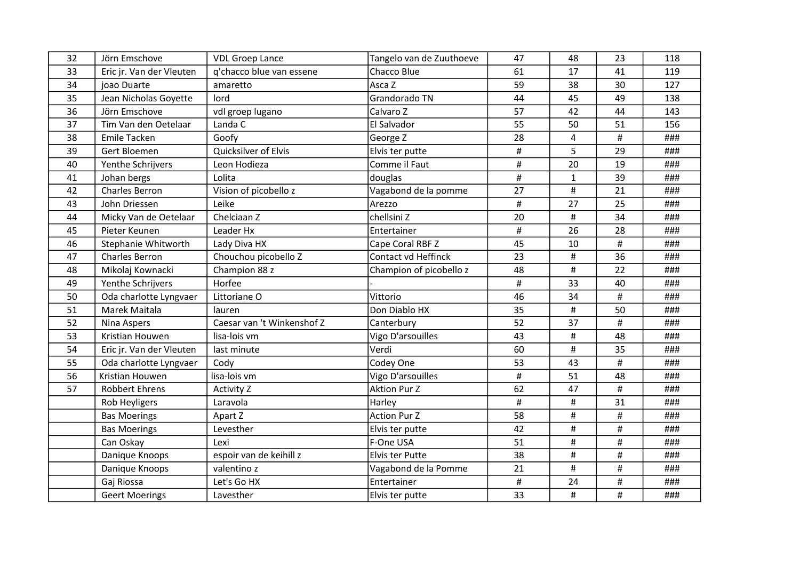| 32 | Jörn Emschove            | <b>VDL Groep Lance</b>     | Tangelo van de Zuuthoeve   | 47   | 48             | 23   | 118 |
|----|--------------------------|----------------------------|----------------------------|------|----------------|------|-----|
| 33 | Eric jr. Van der Vleuten | q'chacco blue van essene   | Chacco Blue                | 61   | 17             | 41   | 119 |
| 34 | joao Duarte              | amaretto                   | Asca Z                     | 59   | 38             | 30   | 127 |
| 35 | Jean Nicholas Goyette    | lord                       | Grandorado TN              | 44   | 45             | 49   | 138 |
| 36 | Jörn Emschove            | vdl groep lugano           | Calvaro Z                  | 57   | 42             | 44   | 143 |
| 37 | Tim Van den Oetelaar     | Landa C                    | El Salvador                | 55   | 50             | 51   | 156 |
| 38 | <b>Emile Tacken</b>      | Goofy                      | George Z                   | 28   | $\overline{4}$ | #    | ### |
| 39 | Gert Bloemen             | Quicksilver of Elvis       | Elvis ter putte            | $\#$ | 5              | 29   | ### |
| 40 | Yenthe Schrijvers        | Leon Hodieza               | Comme il Faut              | $\#$ | 20             | 19   | ### |
| 41 | Johan bergs              | Lolita                     | douglas                    | $\#$ | $\mathbf{1}$   | 39   | ### |
| 42 | Charles Berron           | Vision of picobello z      | Vagabond de la pomme       | 27   | $\pmb{\sharp}$ | 21   | ### |
| 43 | John Driessen            | Leike                      | Arezzo                     | $\#$ | 27             | 25   | ### |
| 44 | Micky Van de Oetelaar    | Chelciaan Z                | chellsini Z                | 20   | #              | 34   | ### |
| 45 | Pieter Keunen            | Leader Hx                  | Entertainer                | #    | 26             | 28   | ### |
| 46 | Stephanie Whitworth      | Lady Diva HX               | Cape Coral RBF Z           | 45   | 10             | $\#$ | ### |
| 47 | <b>Charles Berron</b>    | Chouchou picobello Z       | <b>Contact vd Heffinck</b> | 23   | $\#$           | 36   | ### |
| 48 | Mikolaj Kownacki         | Champion 88 z              | Champion of picobello z    | 48   | $\#$           | 22   | ### |
| 49 | Yenthe Schrijvers        | Horfee                     |                            | $\#$ | 33             | 40   | ### |
| 50 | Oda charlotte Lyngvaer   | Littoriane O               | Vittorio                   | 46   | 34             | $\#$ | ### |
| 51 | Marek Maitala            | lauren                     | Don Diablo HX              | 35   | $\#$           | 50   | ### |
| 52 | Nina Aspers              | Caesar van 't Winkenshof Z | Canterbury                 | 52   | 37             | #    | ### |
| 53 | Kristian Houwen          | lisa-lois vm               | Vigo D'arsouilles          | 43   | #              | 48   | ### |
| 54 | Eric jr. Van der Vleuten | last minute                | Verdi                      | 60   | $\#$           | 35   | ### |
| 55 | Oda charlotte Lyngvaer   | Cody                       | Codey One                  | 53   | 43             | #    | ### |
| 56 | Kristian Houwen          | lisa-lois vm               | Vigo D'arsouilles          | $\#$ | 51             | 48   | ### |
| 57 | Robbert Ehrens           | Activity Z                 | <b>Aktion Pur Z</b>        | 62   | 47             | #    | ### |
|    | Rob Heyligers            | Laravola                   | Harley                     | #    | $\#$           | 31   | ### |
|    | <b>Bas Moerings</b>      | Apart Z                    | <b>Action Pur Z</b>        | 58   | $\#$           | $\#$ | ### |
|    | <b>Bas Moerings</b>      | Levesther                  | Elvis ter putte            | 42   | $\#$           | #    | ### |
|    | Can Oskay                | Lexi                       | F-One USA                  | 51   | $\#$           | $\#$ | ### |
|    | Danique Knoops           | espoir van de keihill z    | Elvis ter Putte            | 38   | $\#$           | #    | ### |
|    | Danique Knoops           | valentino z                | Vagabond de la Pomme       | 21   | $\pmb{\sharp}$ | #    | ### |
|    | Gaj Riossa               | Let's Go HX                | Entertainer                | $\#$ | 24             | $\#$ | ### |
|    | <b>Geert Moerings</b>    | Lavesther                  | Elvis ter putte            | 33   | $\#$           | $\#$ | ### |